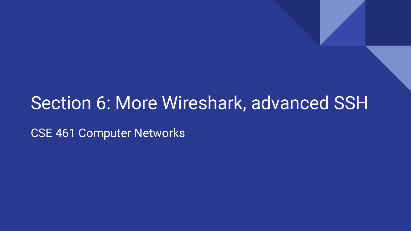#### Section 6: More Wireshark, advanced SSH

CSE 461 Computer Networks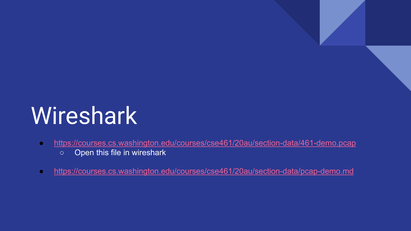# **Wireshark**

- <https://courses.cs.washington.edu/courses/cse461/20au/section-data/461-demo.pcap>
	- Open this file in wireshark
- <https://courses.cs.washington.edu/courses/cse461/20au/section-data/pcap-demo.md>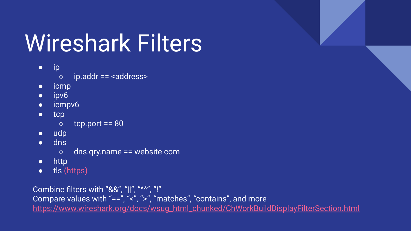# Wireshark Filters

- ip
	- ip.addr == <address>
- icmp
- ipv6
- icmpv6
- tcp
	- $\circ$  tcp.port == 80
- udp
- dns
	- dns.qry.name == website.com
- http
- tls (https)

Combine filters with "&&", "||", "^^", "!" Compare values with "==", "<", ">", "matches", "contains", and more [https://www.wireshark.org/docs/wsug\\_html\\_chunked/ChWorkBuildDisplayFilterSection.html](https://www.wireshark.org/docs/wsug_html_chunked/ChWorkBuildDisplayFilterSection.html)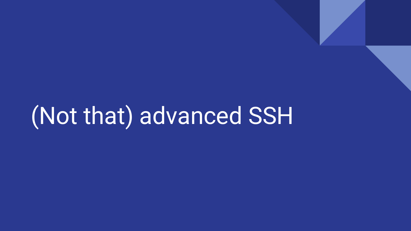# (Not that) advanced SSH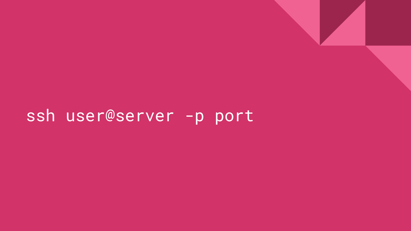#### ssh user@server -p port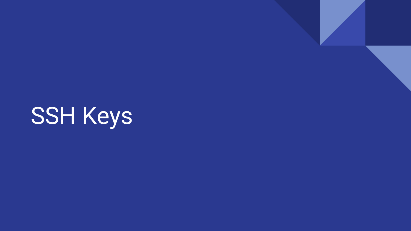SSH Keys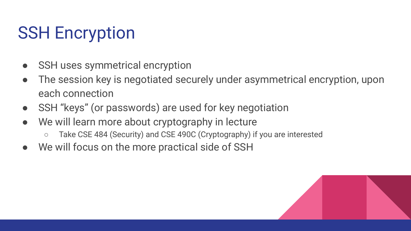### SSH Encryption

- SSH uses symmetrical encryption
- The session key is negotiated securely under asymmetrical encryption, upon each connection
- SSH "keys" (or passwords) are used for key negotiation
- We will learn more about cryptography in lecture
	- Take CSE 484 (Security) and CSE 490C (Cryptography) if you are interested
- We will focus on the more practical side of SSH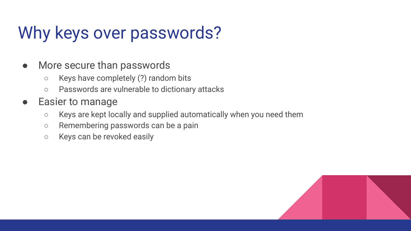### Why keys over passwords?

- More secure than passwords
	- Keys have completely (?) random bits
	- Passwords are vulnerable to dictionary attacks
- Easier to manage
	- Keys are kept locally and supplied automatically when you need them
	- Remembering passwords can be a pain
	- Keys can be revoked easily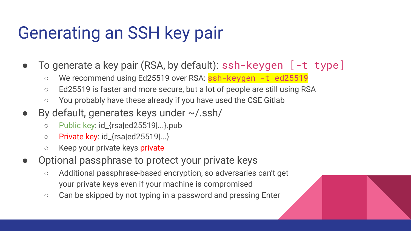#### Generating an SSH key pair

- To generate a key pair (RSA, by default): ssh-keygen [-t type]
	- We recommend using Ed25519 over RSA: ssh-keygen -t ed25519
	- Ed25519 is faster and more secure, but a lot of people are still using RSA
	- You probably have these already if you have used the CSE Gitlab
- $\bullet$  By default, generates keys under  $\sim$ /.ssh/
	- Public key: id\_{rsa|ed25519|...}.pub
	- Private key: id\_{rsa|ed25519|...}
	- Keep your private keys private
- Optional passphrase to protect your private keys
	- Additional passphrase-based encryption, so adversaries can't get your private keys even if your machine is compromised
	- Can be skipped by not typing in a password and pressing Enter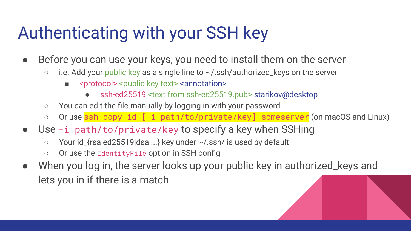#### Authenticating with your SSH key

- Before you can use your keys, you need to install them on the server
	- $\circ$  i.e. Add your public key as a single line to  $\sim$ /.ssh/authorized\_keys on the server
		- <protocol> <public key text> <annotation>
			- ssh-ed25519 <text from ssh-ed25519.pub> starikov@desktop
	- You can edit the file manually by logging in with your password
	- Oruse ssh-copy-id [-i path/to/private/key] someserver (on macOS and Linux)
- Use -i path/to/private/key to specify a key when SSHing
	- Your id\_{rsa|ed25519|dsa|...} key under ~/.ssh/ is used by default
	- Or use the IdentityFile option in SSH config
- When you log in, the server looks up your public key in authorized\_keys and lets you in if there is a match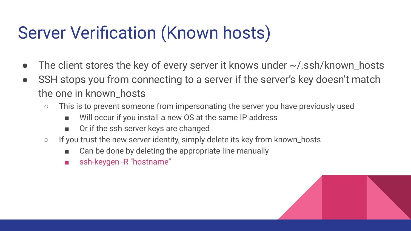#### Server Verification (Known hosts)

- The client stores the key of every server it knows under  $\sim$ /.ssh/known\_hosts
- SSH stops you from connecting to a server if the server's key doesn't match the one in known\_hosts
	- This is to prevent someone from impersonating the server you have previously used
		- Will occur if you install a new OS at the same IP address
		- Or if the ssh server keys are changed
	- If you trust the new server identity, simply delete its key from known\_hosts
		- Can be done by deleting the appropriate line manually
		- ssh-keygen -R "hostname"

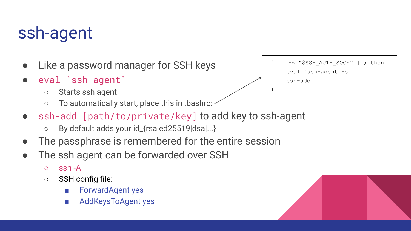#### ssh-agent

- Like a password manager for SSH keys
- eval `ssh-agent`
	- Starts ssh agent
	- To automatically start, place this in .bashrc:
- ssh-add [path/to/private/key] to add key to ssh-agent
	- By default adds your id\_{rsa|ed25519|dsa|...}
- The passphrase is remembered for the entire session
- The ssh agent can be forwarded over SSH
	- ssh -A
	- SSH config file:
		- ForwardAgent yes
		- AddKeysToAgent yes

if [ -z "\$SSH AUTH SOCK" ] ; then eval `ssh-agent -s` ssh-add fi

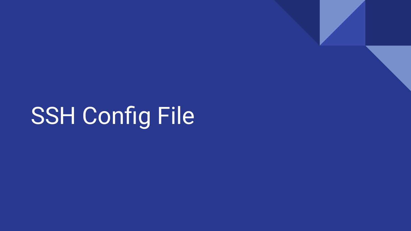SSH Config File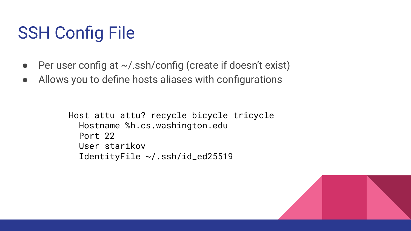### SSH Config File

- Per user config at  $\sim$ /.ssh/config (create if doesn't exist)
- Allows you to define hosts aliases with configurations

Host attu attu? recycle bicycle tricycle Hostname %h.cs.washington.edu Port 22 User starikov IdentityFile ~/.ssh/id\_ed25519

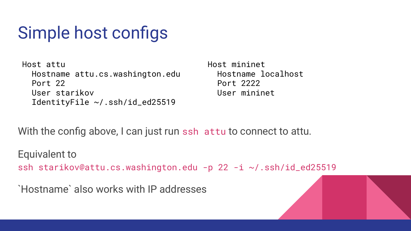### Simple host configs

Host attu Hostname attu.cs.washington.edu Port 22 User starikov IdentityFile ~/.ssh/id\_ed25519

Host mininet Hostname localhost Port 2222 User mininet

With the config above, I can just run ssh attu to connect to attu.

Equivalent to ssh starikov@attu.cs.washington.edu -p 22 -i ~/.ssh/id\_ed25519

`Hostname` also works with IP addresses

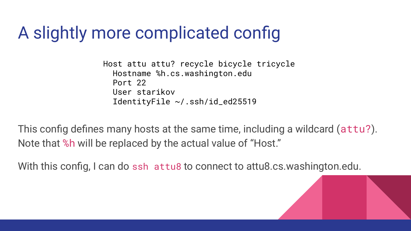#### A slightly more complicated config

Host attu attu? recycle bicycle tricycle Hostname %h.cs.washington.edu Port 22 User starikov IdentityFile ~/.ssh/id\_ed25519

This config defines many hosts at the same time, including a wildcard (attu?). Note that %h will be replaced by the actual value of "Host."

With this config, I can do ssh attu8 to connect to attu8.cs.washington.edu.

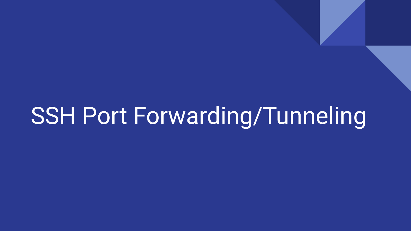# SSH Port Forwarding/Tunneling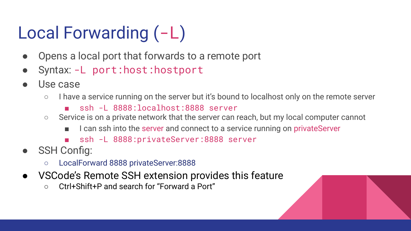## Local Forwarding (-L)

- Opens a local port that forwards to a remote port
- Syntax: -L port:host:hostport
- Use case
	- I have a service running on the server but it's bound to localhost only on the remote server
		- ssh -L 8888: localhost: 8888 server
	- Service is on a private network that the server can reach, but my local computer cannot
		- I can ssh into the server and connect to a service running on privateServer
		- ssh -L 8888:privateServer:8888 server
- **SSH Config:** 
	- LocalForward 8888 privateServer:8888
- VSCode's Remote SSH extension provides this feature
	- Ctrl+Shift+P and search for "Forward a Port"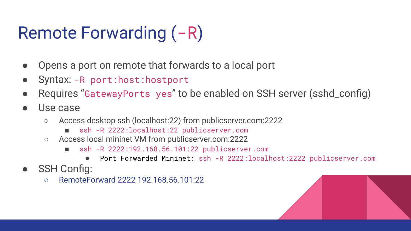## Remote Forwarding (-R)

- Opens a port on remote that forwards to a local port
- Syntax: -R port:host:hostport
- Requires "GatewayPorts yes" to be enabled on SSH server (sshd\_config)
- Use case
	- Access desktop ssh (localhost:22) from publicserver.com:2222
		- ssh -R 2222:localhost:22 publicserver.com
	- Access local mininet VM from publicserver.com:2222
		- ssh -R 2222:192.168.56.101:22 publicserver.com
			- Port Forwarded Mininet: ssh -R 2222:localhost:2222 publicserver.com
- **SSH Config:** 
	- RemoteForward 2222 192.168.56.101:22

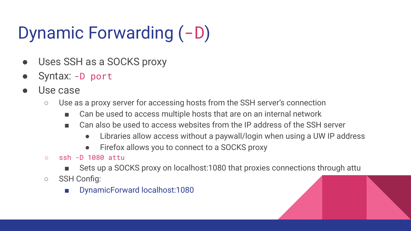## Dynamic Forwarding (-D)

- Uses SSH as a SOCKS proxy
- Syntax: -D port
- Use case
	- Use as a proxy server for accessing hosts from the SSH server's connection
		- Can be used to access multiple hosts that are on an internal network
		- Can also be used to access websites from the IP address of the SSH server
			- Libraries allow access without a paywall/login when using a UW IP address
			- Firefox allows you to connect to a SOCKS proxy
	- $\circ$  ssh -D 1080 attu
		- Sets up a SOCKS proxy on localhost:1080 that proxies connections through attu
	- SSH Config:
		- DynamicForward localhost:1080

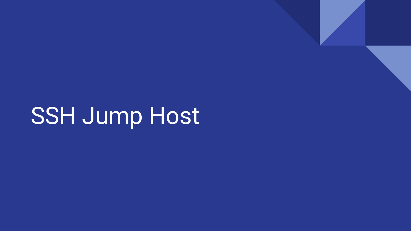SSH Jump Host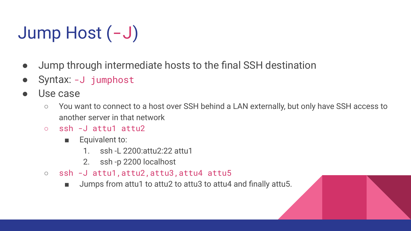## Jump Host (-J)

- Jump through intermediate hosts to the final SSH destination
- Syntax: -J jumphost
- Use case
	- You want to connect to a host over SSH behind a LAN externally, but only have SSH access to another server in that network
	- ssh -J attu1 attu2
		- Equivalent to:
			- 1. ssh -L 2200:attu2:22 attu1
			- 2. ssh -p 2200 localhost
	- ssh -J attu1,attu2,attu3,attu4 attu5
		- Jumps from attu1 to attu2 to attu3 to attu4 and finally attu5.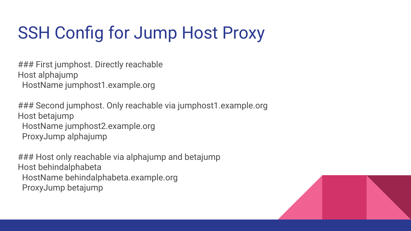### SSH Config for Jump Host Proxy

### First jumphost. Directly reachable Host alphajump HostName jumphost1.example.org

### Second jumphost. Only reachable via jumphost1.example.org Host betajump HostName jumphost2.example.org ProxyJump alphajump

### Host only reachable via alphajump and betajump Host behindalphabeta HostName behindalphabeta.example.org ProxyJump betajump

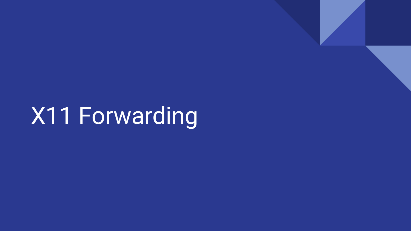X11 Forwarding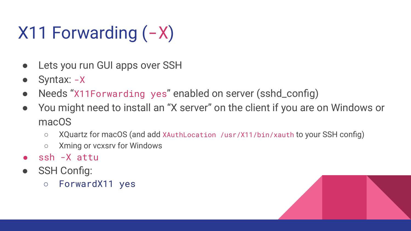## $X11$  Forwarding  $(-X)$

- Lets you run GUI apps over SSH
- Syntax: -X
- Needs "X11Forwarding yes" enabled on server (sshd\_config)
- You might need to install an "X server" on the client if you are on Windows or macOS
	- XQuartz for macOS (and add XAuthLocation /usr/X11/bin/xauth to your SSH config)
	- Xming or vcxsrv for Windows
- ssh -X attu
- **SSH Config:** 
	- ForwardX11 yes